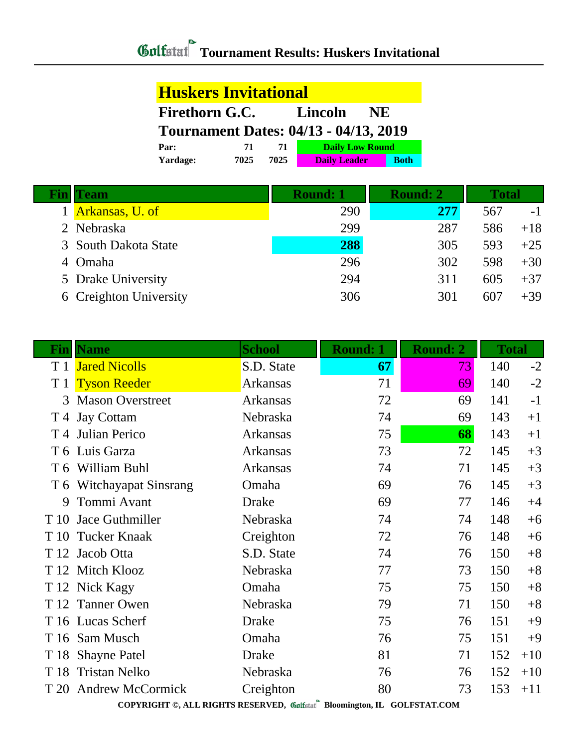## **Tournament Results: Huskers Invitational**

| <b>Huskers Invitational</b>                   |      |      |                        |             |  |
|-----------------------------------------------|------|------|------------------------|-------------|--|
| <b>Firethorn G.C.</b><br>Lincoln<br><b>NE</b> |      |      |                        |             |  |
| <b>Tournament Dates: 04/13 - 04/13, 2019</b>  |      |      |                        |             |  |
| Par:                                          | 71   | 71   | <b>Daily Low Round</b> |             |  |
| Yardage:                                      | 7025 | 7025 | <b>Daily Leader</b>    | <b>Both</b> |  |

|   | <b>Team</b>            | Round: 1 | <b>Round: 2</b> | <b>Total</b> |       |
|---|------------------------|----------|-----------------|--------------|-------|
|   | Arkansas, U. of        | 290      | 277             | 567          | - 1   |
|   | 2 Nebraska             | 299      | 287             | 586          | $+18$ |
|   | 3 South Dakota State   | 288      | 305             | 593          | $+25$ |
| 4 | <b>Omaha</b>           | 296      | 302             | 598          | $+30$ |
|   | 5 Drake University     | 294      | 311             | 605          | $+37$ |
|   | 6 Creighton University | 306      | 301             | 607          | $+39$ |

| $\bf{Fin}$ | <b>Name</b>              | <b>School</b> | <b>Round: 1</b><br><b>Round: 2</b> |    | <b>Total</b> |       |
|------------|--------------------------|---------------|------------------------------------|----|--------------|-------|
| T 1        | <b>Jared Nicolls</b>     | S.D. State    | 67                                 | 73 | 140          | $-2$  |
| T 1        | <b>Tyson Reeder</b>      | Arkansas      | 71                                 | 69 | 140          | $-2$  |
| 3          | <b>Mason Overstreet</b>  | Arkansas      | 72                                 | 69 | 141          | $-1$  |
|            | T 4 Jay Cottam           | Nebraska      | 74                                 | 69 | 143          | $+1$  |
| T 4        | Julian Perico            | Arkansas      | 75                                 | 68 | 143          | $+1$  |
|            | T 6 Luis Garza           | Arkansas      | 73                                 | 72 | 145          | $+3$  |
|            | T 6 William Buhl         | Arkansas      | 74                                 | 71 | 145          | $+3$  |
|            | T 6 Witchayapat Sinsrang | Omaha         | 69                                 | 76 | 145          | $+3$  |
| 9          | Tommi Avant              | <b>Drake</b>  | 69                                 | 77 | 146          | $+4$  |
| T 10       | Jace Guthmiller          | Nebraska      | 74                                 | 74 | 148          | $+6$  |
| T 10       | <b>Tucker Knaak</b>      | Creighton     | 72                                 | 76 | 148          | $+6$  |
| T 12       | Jacob Otta               | S.D. State    | 74                                 | 76 | 150          | $+8$  |
|            | T 12 Mitch Klooz         | Nebraska      | 77                                 | 73 | 150          | $+8$  |
|            | T 12 Nick Kagy           | Omaha         | 75                                 | 75 | 150          | $+8$  |
| T 12       | <b>Tanner Owen</b>       | Nebraska      | 79                                 | 71 | 150          | $+8$  |
|            | T 16 Lucas Scherf        | <b>Drake</b>  | 75                                 | 76 | 151          | $+9$  |
|            | T 16 Sam Musch           | Omaha         | 76                                 | 75 | 151          | $+9$  |
|            | T 18 Shayne Patel        | <b>Drake</b>  | 81                                 | 71 | 152          | $+10$ |
| T 18       | <b>Tristan Nelko</b>     | Nebraska      | 76                                 | 76 | 152          | $+10$ |
| T 20       | <b>Andrew McCormick</b>  | Creighton     | 80                                 | 73 | 153          | $+11$ |

**COPYRIGHT ©, ALL RIGHTS RESERVED, Bloomington, IL GOLFSTAT.COM**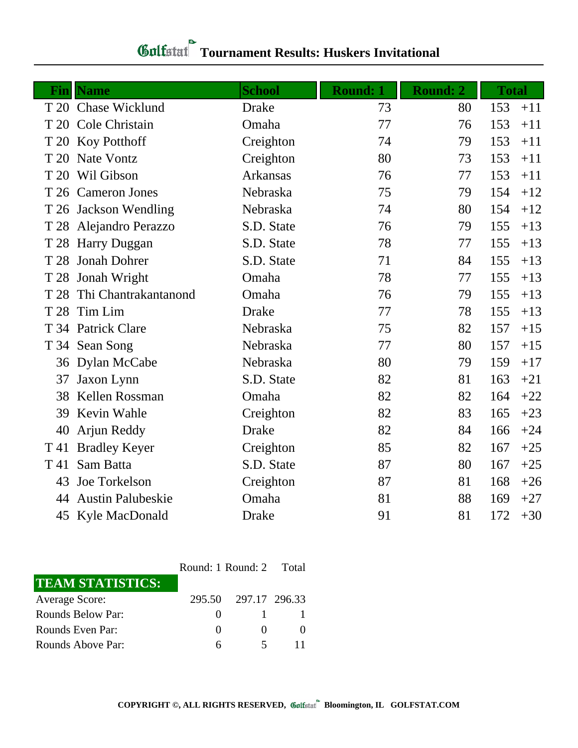## **Tournament Results: Huskers Invitational**

| T 20 Chase Wicklund<br>153<br><b>Drake</b><br>73<br>80<br>Cole Christain<br>77<br>76<br>153<br>T 20<br>Omaha<br>Creighton<br>153<br>T 20 Koy Potthoff<br>74<br>79<br>80<br>153<br>Nate Vontz<br>Creighton<br>73<br>T 20<br>Wil Gibson<br><b>Arkansas</b><br>153<br>76<br>77<br>T 20<br>154<br>T 26 Cameron Jones<br>Nebraska<br>75<br>79<br>T 26 Jackson Wendling<br>74<br>80<br>154<br>Nebraska | $+11$<br>$+11$<br>$+11$<br>$+11$<br>$+11$<br>$+12$<br>$+12$ |
|--------------------------------------------------------------------------------------------------------------------------------------------------------------------------------------------------------------------------------------------------------------------------------------------------------------------------------------------------------------------------------------------------|-------------------------------------------------------------|
|                                                                                                                                                                                                                                                                                                                                                                                                  |                                                             |
|                                                                                                                                                                                                                                                                                                                                                                                                  |                                                             |
|                                                                                                                                                                                                                                                                                                                                                                                                  |                                                             |
|                                                                                                                                                                                                                                                                                                                                                                                                  |                                                             |
|                                                                                                                                                                                                                                                                                                                                                                                                  |                                                             |
|                                                                                                                                                                                                                                                                                                                                                                                                  |                                                             |
|                                                                                                                                                                                                                                                                                                                                                                                                  |                                                             |
| S.D. State<br>155<br>T 28 Alejandro Perazzo<br>76<br>79                                                                                                                                                                                                                                                                                                                                          | $+13$                                                       |
| 78<br>S.D. State<br>77<br>155<br><b>Harry Duggan</b><br>T 28                                                                                                                                                                                                                                                                                                                                     | $+13$                                                       |
| S.D. State<br>71<br>155<br><b>Jonah Dohrer</b><br>84<br>T 28                                                                                                                                                                                                                                                                                                                                     | $+13$                                                       |
| 78<br>T 28 Jonah Wright<br>Omaha<br>77<br>155                                                                                                                                                                                                                                                                                                                                                    | $+13$                                                       |
| Thi Chantrakantanond<br>155<br>Omaha<br>76<br>79<br>T 28                                                                                                                                                                                                                                                                                                                                         | $+13$                                                       |
| Tim Lim<br>77<br>155<br>T 28<br><b>Drake</b><br>78                                                                                                                                                                                                                                                                                                                                               | $+13$                                                       |
| 75<br>Nebraska<br>82<br>157<br>T 34 Patrick Clare                                                                                                                                                                                                                                                                                                                                                | $+15$                                                       |
| 77<br>80<br>157<br>T 34 Sean Song<br>Nebraska                                                                                                                                                                                                                                                                                                                                                    | $+15$                                                       |
| 80<br>159<br>36 Dylan McCabe<br>Nebraska<br>79                                                                                                                                                                                                                                                                                                                                                   | $+17$                                                       |
| S.D. State<br>82<br>81<br>163<br>Jaxon Lynn<br>37                                                                                                                                                                                                                                                                                                                                                | $+21$                                                       |
| Kellen Rossman<br>Omaha<br>82<br>82<br>164<br>38                                                                                                                                                                                                                                                                                                                                                 | $+22$                                                       |
| 82<br>Kevin Wahle<br>83<br>39<br>Creighton<br>165                                                                                                                                                                                                                                                                                                                                                | $+23$                                                       |
| 82<br><b>Drake</b><br>84<br>40<br>Arjun Reddy<br>166                                                                                                                                                                                                                                                                                                                                             | $+24$                                                       |
| 85<br>82<br><b>Bradley Keyer</b><br>Creighton<br>167<br>T 41                                                                                                                                                                                                                                                                                                                                     | $+25$                                                       |
| Sam Batta<br>S.D. State<br>87<br>80<br>167<br>T 41                                                                                                                                                                                                                                                                                                                                               | $+25$                                                       |
| Joe Torkelson<br>Creighton<br>87<br>81<br>168<br>43                                                                                                                                                                                                                                                                                                                                              | $+26$                                                       |
| <b>Austin Palubeskie</b><br>Omaha<br>81<br>88<br>169<br>44                                                                                                                                                                                                                                                                                                                                       | $+27$                                                       |
| 81<br>172<br>45 Kyle MacDonald<br><b>Drake</b><br>91<br>$+30$                                                                                                                                                                                                                                                                                                                                    |                                                             |

Round: 1 Round: 2 Total **TEAM STATISTICS:** Average Score: 295.50 297.17 296.33 Rounds Below Par: 0 1 1 Rounds Even Par: 0 0 0 0 Rounds Above Par: 6 5 11